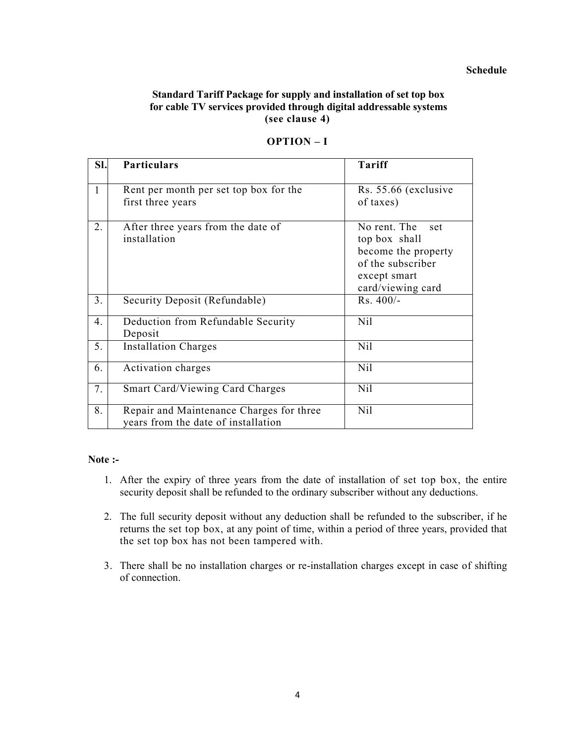#### **Schedule**

## **Standard Tariff Package for supply and installation of set top box for cable TV services provided through digital addressable systems (see clause 4)**

| SI.            | <b>Particulars</b>                                                              | Tariff                                                                                                                |
|----------------|---------------------------------------------------------------------------------|-----------------------------------------------------------------------------------------------------------------------|
| 1              | Rent per month per set top box for the<br>first three years                     | Rs. 55.66 (exclusive<br>of taxes)                                                                                     |
| 2.             | After three years from the date of<br>installation                              | No rent. The<br>set<br>top box shall<br>become the property<br>of the subscriber<br>except smart<br>card/viewing card |
| 3 <sub>1</sub> | Security Deposit (Refundable)                                                   | $Rs.400/-$                                                                                                            |
| 4.             | Deduction from Refundable Security<br>Deposit                                   | Nil                                                                                                                   |
| 5.             | <b>Installation Charges</b>                                                     | Nil                                                                                                                   |
| 6.             | Activation charges                                                              | N <sub>il</sub>                                                                                                       |
| 7.             | Smart Card/Viewing Card Charges                                                 | N <sub>il</sub>                                                                                                       |
| 8.             | Repair and Maintenance Charges for three<br>years from the date of installation | Nil                                                                                                                   |

#### **OPTION – I**

#### **Note :-**

- 1. After the expiry of three years from the date of installation of set top box, the entire security deposit shall be refunded to the ordinary subscriber without any deductions.
- 2. The full security deposit without any deduction shall be refunded to the subscriber, if he returns the set top box, at any point of time, within a period of three years, provided that the set top box has not been tampered with.
- 3. There shall be no installation charges or re-installation charges except in case of shifting of connection.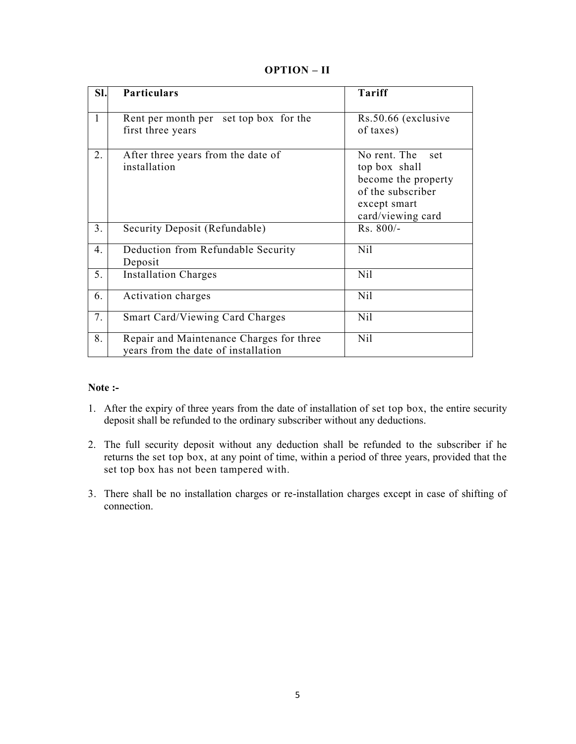## **OPTION – II**

| SI.            | <b>Particulars</b>                                                              | <b>Tariff</b>                                                                                                         |
|----------------|---------------------------------------------------------------------------------|-----------------------------------------------------------------------------------------------------------------------|
| $\mathbf{1}$   | Rent per month per set top box for the<br>first three years                     | Rs.50.66 (exclusive<br>of taxes)                                                                                      |
| 2.             | After three years from the date of<br>installation                              | No rent. The<br>set<br>top box shall<br>become the property<br>of the subscriber<br>except smart<br>card/viewing card |
| 3 <sub>1</sub> | Security Deposit (Refundable)                                                   | Rs. 800/-                                                                                                             |
| 4.             | Deduction from Refundable Security<br>Deposit                                   | Nil                                                                                                                   |
| 5.             | <b>Installation Charges</b>                                                     | N <sub>il</sub>                                                                                                       |
| 6.             | Activation charges                                                              | N <sub>il</sub>                                                                                                       |
| 7.             | <b>Smart Card/Viewing Card Charges</b>                                          | N <sub>il</sub>                                                                                                       |
| 8.             | Repair and Maintenance Charges for three<br>years from the date of installation | N <sub>il</sub>                                                                                                       |

#### **Note :-**

- 1. After the expiry of three years from the date of installation of set top box, the entire security deposit shall be refunded to the ordinary subscriber without any deductions.
- 2. The full security deposit without any deduction shall be refunded to the subscriber if he returns the set top box, at any point of time, within a period of three years, provided that the set top box has not been tampered with.
- 3. There shall be no installation charges or re-installation charges except in case of shifting of connection.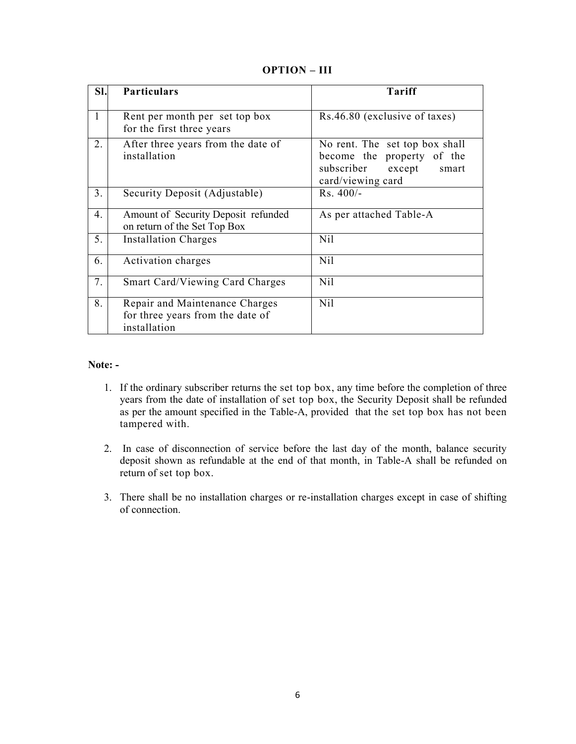## **OPTION – III**

| SI. | <b>Particulars</b>                                                                 | Tariff                                                                                                             |
|-----|------------------------------------------------------------------------------------|--------------------------------------------------------------------------------------------------------------------|
| 1   | Rent per month per set top box<br>for the first three years                        | Rs.46.80 (exclusive of taxes)                                                                                      |
| 2.  | After three years from the date of<br>installation                                 | No rent. The set top box shall<br>become the property of the<br>subscriber<br>except<br>smart<br>card/viewing card |
| 3.  | Security Deposit (Adjustable)                                                      | $Rs.400/-$                                                                                                         |
| 4.  | Amount of Security Deposit refunded<br>on return of the Set Top Box                | As per attached Table-A                                                                                            |
| 5.  | <b>Installation Charges</b>                                                        | N <sub>il</sub>                                                                                                    |
| 6.  | Activation charges                                                                 | Nil                                                                                                                |
| 7.  | <b>Smart Card/Viewing Card Charges</b>                                             | N <sub>il</sub>                                                                                                    |
| 8.  | Repair and Maintenance Charges<br>for three years from the date of<br>installation | N <sub>il</sub>                                                                                                    |

#### **Note: -**

- 1. If the ordinary subscriber returns the set top box, any time before the completion of three years from the date of installation of set top box, the Security Deposit shall be refunded as per the amount specified in the Table-A, provided that the set top box has not been tampered with.
- 2. In case of disconnection of service before the last day of the month, balance security deposit shown as refundable at the end of that month, in Table-A shall be refunded on return of set top box.
- 3. There shall be no installation charges or re-installation charges except in case of shifting of connection.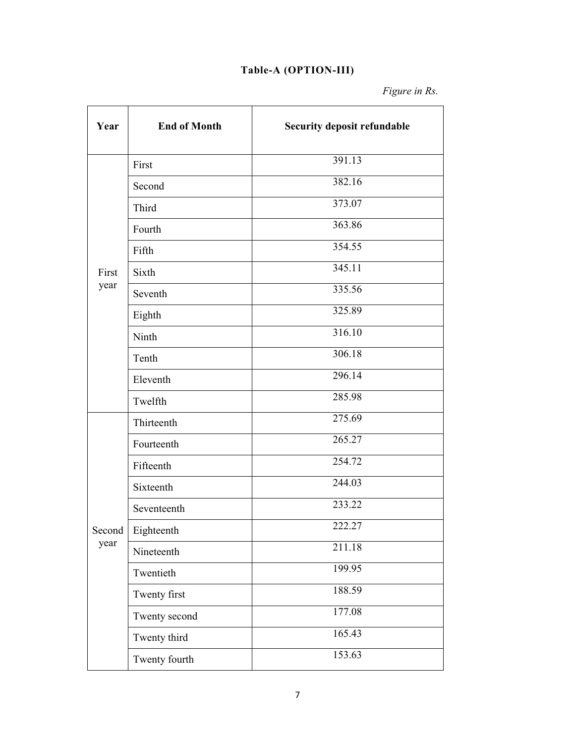# **Table-A (OPTION-III)**

*Figure in Rs.*

| Year   | <b>End of Month</b> | <b>Security deposit refundable</b> |
|--------|---------------------|------------------------------------|
|        | First               | 391.13                             |
|        | Second              | 382.16                             |
|        | Third               | 373.07                             |
|        | Fourth              | 363.86                             |
|        | Fifth               | 354.55                             |
| First  | Sixth               | 345.11                             |
| year   | Seventh             | 335.56                             |
|        | Eighth              | 325.89                             |
|        | Ninth               | 316.10                             |
|        | Tenth               | 306.18                             |
|        | Eleventh            | 296.14                             |
|        | Twelfth             | 285.98                             |
|        | Thirteenth          | 275.69                             |
|        | Fourteenth          | 265.27                             |
|        | Fifteenth           | 254.72                             |
|        | Sixteenth           | 244.03                             |
|        | Seventeenth         | 233.22                             |
| Second | Eighteenth          | 222.27                             |
| year   | Nineteenth          | 211.18                             |
|        | Twentieth           | 199.95                             |
|        | Twenty first        | 188.59                             |
|        | Twenty second       | 177.08                             |
|        | Twenty third        | 165.43                             |
|        | Twenty fourth       | 153.63                             |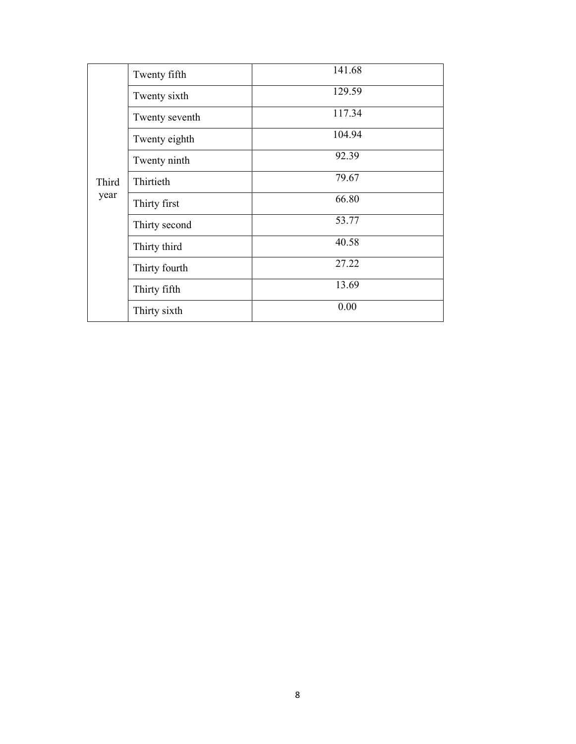|       | Twenty fifth   | 141.68 |
|-------|----------------|--------|
|       | Twenty sixth   | 129.59 |
|       | Twenty seventh | 117.34 |
|       | Twenty eighth  | 104.94 |
|       | Twenty ninth   | 92.39  |
| Third | Thirtieth      | 79.67  |
| year  | Thirty first   | 66.80  |
|       | Thirty second  | 53.77  |
|       | Thirty third   | 40.58  |
|       | Thirty fourth  | 27.22  |
|       | Thirty fifth   | 13.69  |
|       | Thirty sixth   | 0.00   |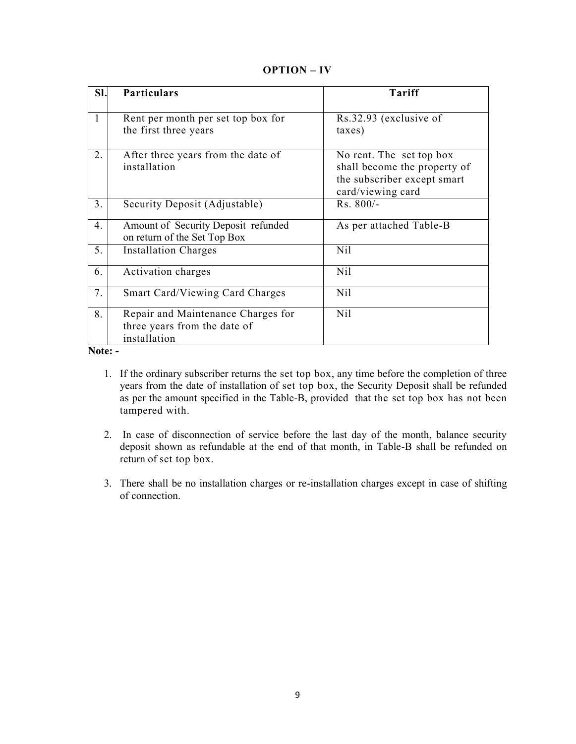## **OPTION – IV**

| SI.              | <b>Particulars</b>                                                                 | <b>Tariff</b>                                                                                                |
|------------------|------------------------------------------------------------------------------------|--------------------------------------------------------------------------------------------------------------|
| $\mathbf{1}$     | Rent per month per set top box for<br>the first three years                        | Rs.32.93 (exclusive of<br>taxes)                                                                             |
| 2.               | After three years from the date of<br>installation                                 | No rent. The set top box<br>shall become the property of<br>the subscriber except smart<br>card/viewing card |
| 3.               | Security Deposit (Adjustable)                                                      | $Rs. 800/-$                                                                                                  |
| $\overline{4}$ . | Amount of Security Deposit refunded<br>on return of the Set Top Box                | As per attached Table-B                                                                                      |
| 5.               | <b>Installation Charges</b>                                                        | Nil                                                                                                          |
| 6.               | Activation charges                                                                 | Nil                                                                                                          |
| 7.               | <b>Smart Card/Viewing Card Charges</b>                                             | Nil                                                                                                          |
| 8.               | Repair and Maintenance Charges for<br>three years from the date of<br>installation | N <sub>il</sub>                                                                                              |

**Note: -**

- 1. If the ordinary subscriber returns the set top box, any time before the completion of three years from the date of installation of set top box, the Security Deposit shall be refunded as per the amount specified in the Table-B, provided that the set top box has not been tampered with.
- 2. In case of disconnection of service before the last day of the month, balance security deposit shown as refundable at the end of that month, in Table-B shall be refunded on return of set top box.
- 3. There shall be no installation charges or re-installation charges except in case of shifting of connection.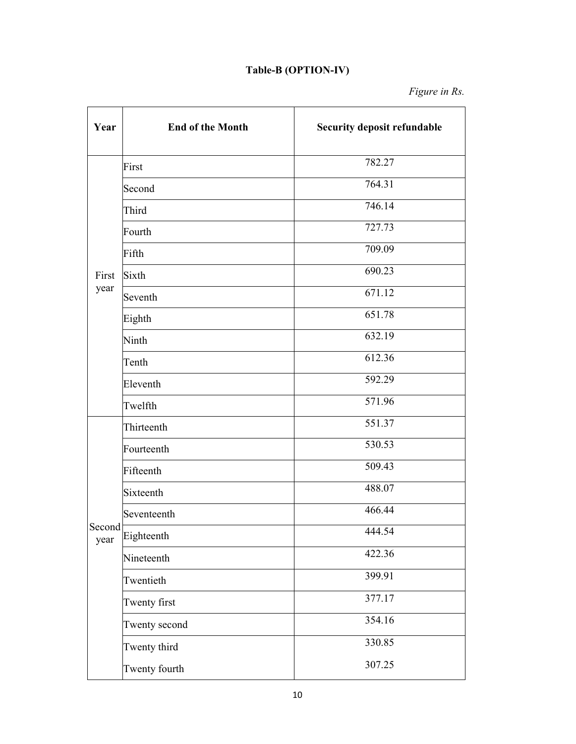## **Table-B (OPTION-IV)**

*Figure in Rs.*

| Year           | <b>End of the Month</b> | <b>Security deposit refundable</b> |
|----------------|-------------------------|------------------------------------|
|                | First                   | 782.27                             |
|                | Second                  | 764.31                             |
|                | Third                   | 746.14                             |
|                | Fourth                  | 727.73                             |
|                | Fifth                   | 709.09                             |
| First          | Sixth                   | 690.23                             |
| year           | Seventh                 | 671.12                             |
|                | Eighth                  | 651.78                             |
|                | Ninth                   | 632.19                             |
|                | Tenth                   | 612.36                             |
|                | Eleventh                | 592.29                             |
|                | Twelfth                 | 571.96                             |
|                | Thirteenth              | 551.37                             |
|                | Fourteenth              | 530.53                             |
|                | Fifteenth               | 509.43                             |
|                | Sixteenth               | 488.07                             |
|                | Seventeenth             | 466.44                             |
| Second<br>year | Eighteenth              | 444.54                             |
|                | Nineteenth              | 422.36                             |
|                | Twentieth               | 399.91                             |
|                | Twenty first            | 377.17                             |
|                | Twenty second           | 354.16                             |
|                | Twenty third            | 330.85                             |
|                | Twenty fourth           | 307.25                             |